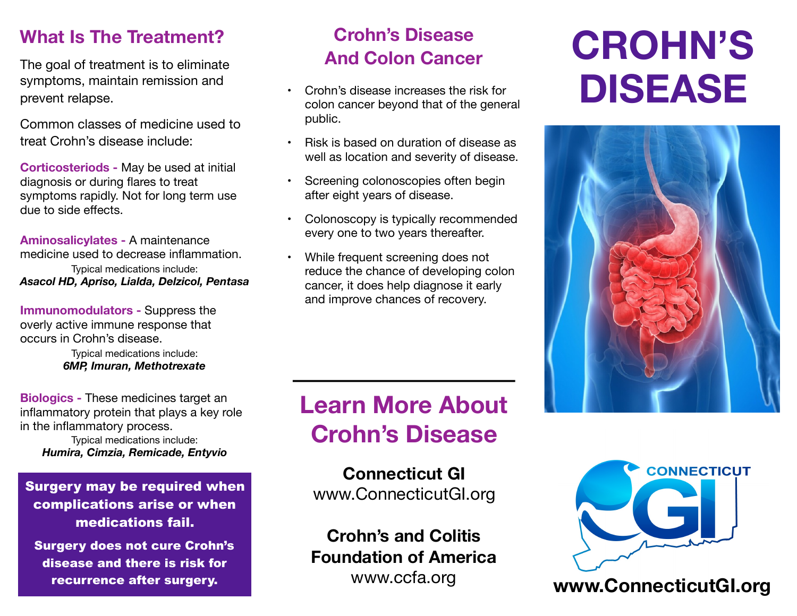#### **What Is The Treatment?**

The goal of treatment is to eliminate symptoms, maintain remission and prevent relapse.

Common classes of medicine used to treat Crohn's disease include:

**Corticosteriods -** May be used at initial diagnosis or during flares to treat symptoms rapidly. Not for long term use due to side effects.

**Aminosalicylates -** A maintenance medicine used to decrease inflammation. Typical medications include: *Asacol HD, Apriso, Lialda, Delzicol, Pentasa*

**Immunomodulators -** Suppress the overly active immune response that occurs in Crohn's disease.

> Typical medications include: *6MP, Imuran, Methotrexate*

**Biologics -** These medicines target an inflammatory protein that plays a key role in the inflammatory process.

Typical medications include: *Humira, Cimzia, Remicade, Entyvio*

Surgery may be required when complications arise or when medications fail.

Surgery does not cure Crohn's disease and there is risk for recurrence after surgery.

## **Crohn's Disease And Colon Cancer**

- Crohn's disease increases the risk for colon cancer beyond that of the general public.
- Risk is based on duration of disease as well as location and severity of disease.
- Screening colonoscopies often begin after eight years of disease.
- Colonoscopy is typically recommended every one to two years thereafter.
- While frequent screening does not reduce the chance of developing colon cancer, it does help diagnose it early and improve chances of recovery.

# **Learn More About Crohn's Disease**

**Connecticut GI** [www.ConnecticutGI.org](http://www.connecticutgi.org)

**Crohn's and Colitis Foundation of America** 

# **CROHN'S DISEASE**





## [www.ccfa.org](http://www.Harthosp.org/Liver) **[www.ConnecticutGI.org](http://www.connecticutgi.org)**